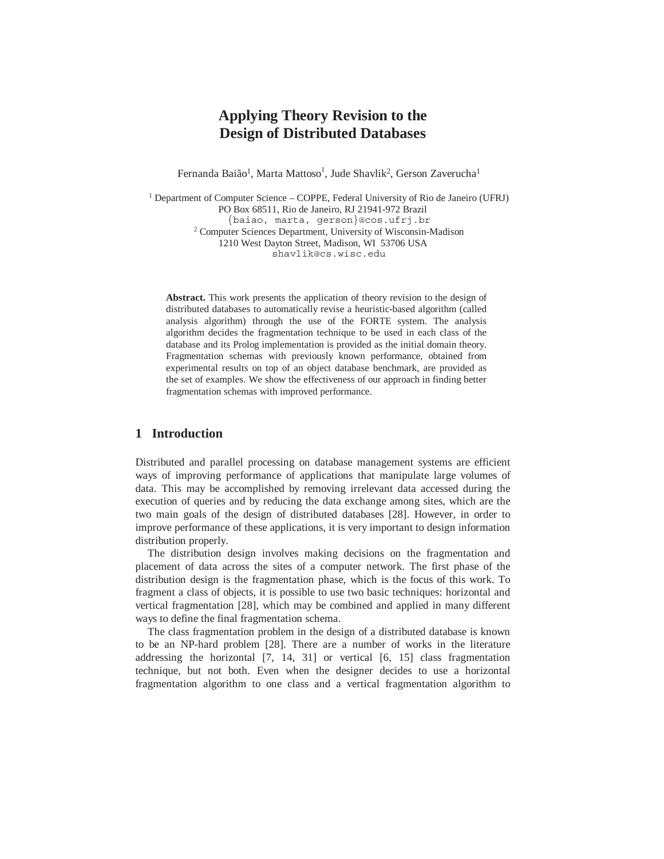# **Applying Theory Revision to the Design of Distributed Databases**

Fernanda Baião<sup>1</sup>, Marta Mattoso<sup>1</sup>, Jude Shavlik<sup>2</sup>, Gerson Zaverucha<sup>1</sup>

<sup>1</sup> Department of Computer Science – COPPE, Federal University of Rio de Janeiro (UFRJ) PO Box 68511, Rio de Janeiro, RJ 21941-972 Brazil {baiao, marta, gerson}@cos.ufrj.br 2 Computer Sciences Department, University of Wisconsin-Madison 1210 West Dayton Street, Madison, WI 53706 USA shavlik@cs.wisc.edu

**Abstract.** This work presents the application of theory revision to the design of distributed databases to automatically revise a heuristic-based algorithm (called analysis algorithm) through the use of the FORTE system. The analysis algorithm decides the fragmentation technique to be used in each class of the database and its Prolog implementation is provided as the initial domain theory. Fragmentation schemas with previously known performance, obtained from experimental results on top of an object database benchmark, are provided as the set of examples. We show the effectiveness of our approach in finding better fragmentation schemas with improved performance.

# **1 Introduction**

Distributed and parallel processing on database management systems are efficient ways of improving performance of applications that manipulate large volumes of data. This may be accomplished by removing irrelevant data accessed during the execution of queries and by reducing the data exchange among sites, which are the two main goals of the design of distributed databases [28]. However, in order to improve performance of these applications, it is very important to design information distribution properly.

The distribution design involves making decisions on the fragmentation and placement of data across the sites of a computer network. The first phase of the distribution design is the fragmentation phase, which is the focus of this work. To fragment a class of objects, it is possible to use two basic techniques: horizontal and vertical fragmentation [28], which may be combined and applied in many different ways to define the final fragmentation schema.

The class fragmentation problem in the design of a distributed database is known to be an NP-hard problem [28]. There are a number of works in the literature addressing the horizontal [7, 14, 31] or vertical [6, 15] class fragmentation technique, but not both. Even when the designer decides to use a horizontal fragmentation algorithm to one class and a vertical fragmentation algorithm to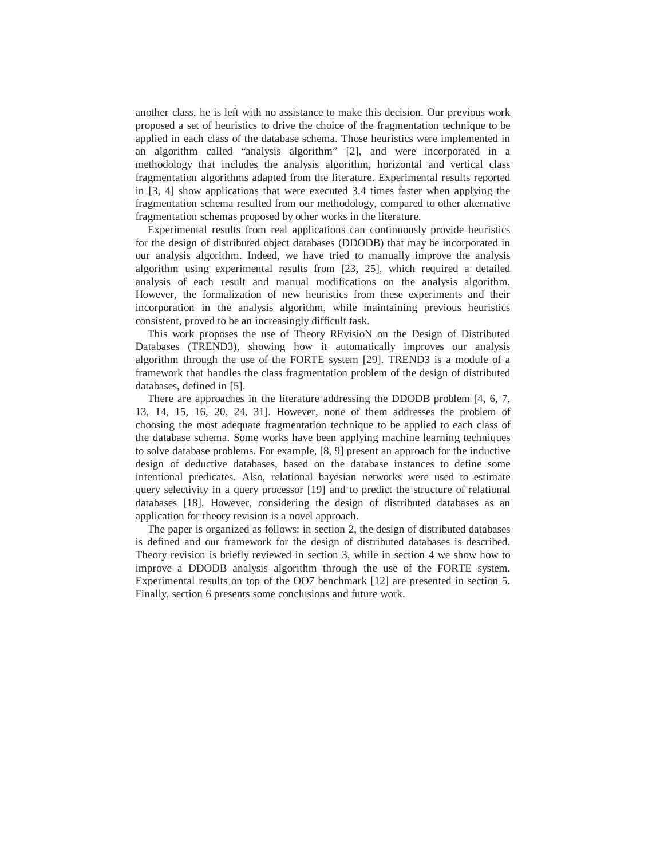another class, he is left with no assistance to make this decision. Our previous work proposed a set of heuristics to drive the choice of the fragmentation technique to be applied in each class of the database schema. Those heuristics were implemented in an algorithm called "analysis algorithm" [2], and were incorporated in a methodology that includes the analysis algorithm, horizontal and vertical class fragmentation algorithms adapted from the literature. Experimental results reported in [3, 4] show applications that were executed 3.4 times faster when applying the fragmentation schema resulted from our methodology, compared to other alternative fragmentation schemas proposed by other works in the literature.

Experimental results from real applications can continuously provide heuristics for the design of distributed object databases (DDODB) that may be incorporated in our analysis algorithm. Indeed, we have tried to manually improve the analysis algorithm using experimental results from [23, 25], which required a detailed analysis of each result and manual modifications on the analysis algorithm. However, the formalization of new heuristics from these experiments and their incorporation in the analysis algorithm, while maintaining previous heuristics consistent, proved to be an increasingly difficult task.

This work proposes the use of Theory REvisioN on the Design of Distributed Databases (TREND3), showing how it automatically improves our analysis algorithm through the use of the FORTE system [29]. TREND3 is a module of a framework that handles the class fragmentation problem of the design of distributed databases, defined in [5].

There are approaches in the literature addressing the DDODB problem [4, 6, 7, 13, 14, 15, 16, 20, 24, 31]. However, none of them addresses the problem of choosing the most adequate fragmentation technique to be applied to each class of the database schema. Some works have been applying machine learning techniques to solve database problems. For example, [8, 9] present an approach for the inductive design of deductive databases, based on the database instances to define some intentional predicates. Also, relational bayesian networks were used to estimate query selectivity in a query processor [19] and to predict the structure of relational databases [18]. However, considering the design of distributed databases as an application for theory revision is a novel approach.

The paper is organized as follows: in section 2, the design of distributed databases is defined and our framework for the design of distributed databases is described. Theory revision is briefly reviewed in section 3, while in section 4 we show how to improve a DDODB analysis algorithm through the use of the FORTE system. Experimental results on top of the OO7 benchmark [12] are presented in section 5. Finally, section 6 presents some conclusions and future work.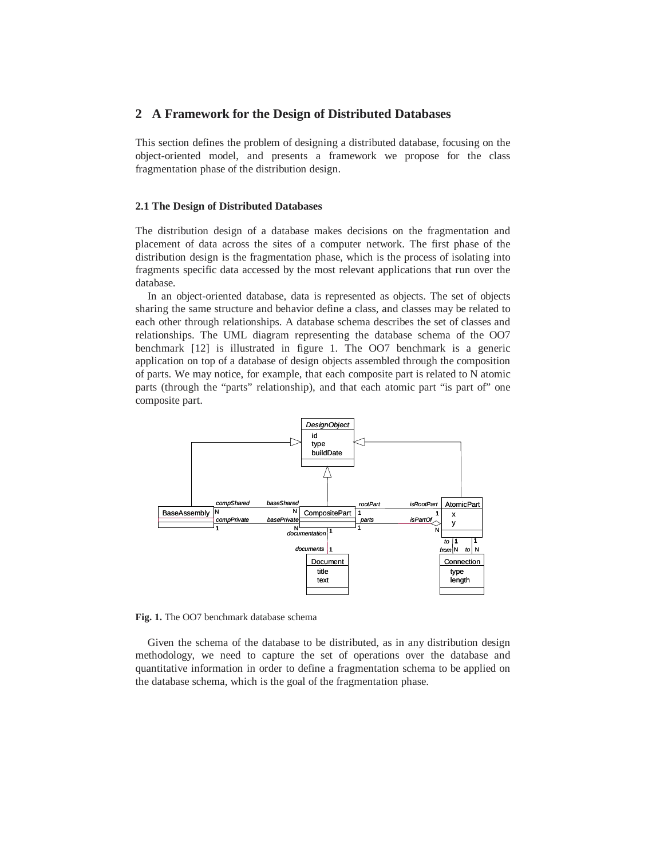## **2 A Framework for the Design of Distributed Databases**

This section defines the problem of designing a distributed database, focusing on the object-oriented model, and presents a framework we propose for the class fragmentation phase of the distribution design.

## **2.1 The Design of Distributed Databases**

The distribution design of a database makes decisions on the fragmentation and placement of data across the sites of a computer network. The first phase of the distribution design is the fragmentation phase, which is the process of isolating into fragments specific data accessed by the most relevant applications that run over the database.

In an object-oriented database, data is represented as objects. The set of objects sharing the same structure and behavior define a class, and classes may be related to each other through relationships. A database schema describes the set of classes and relationships. The UML diagram representing the database schema of the OO7 benchmark [12] is illustrated in figure 1. The OO7 benchmark is a generic application on top of a database of design objects assembled through the composition of parts. We may notice, for example, that each composite part is related to N atomic parts (through the "parts" relationship), and that each atomic part "is part of" one composite part.



**Fig. 1.** The OO7 benchmark database schema

Given the schema of the database to be distributed, as in any distribution design methodology, we need to capture the set of operations over the database and quantitative information in order to define a fragmentation schema to be applied on the database schema, which is the goal of the fragmentation phase.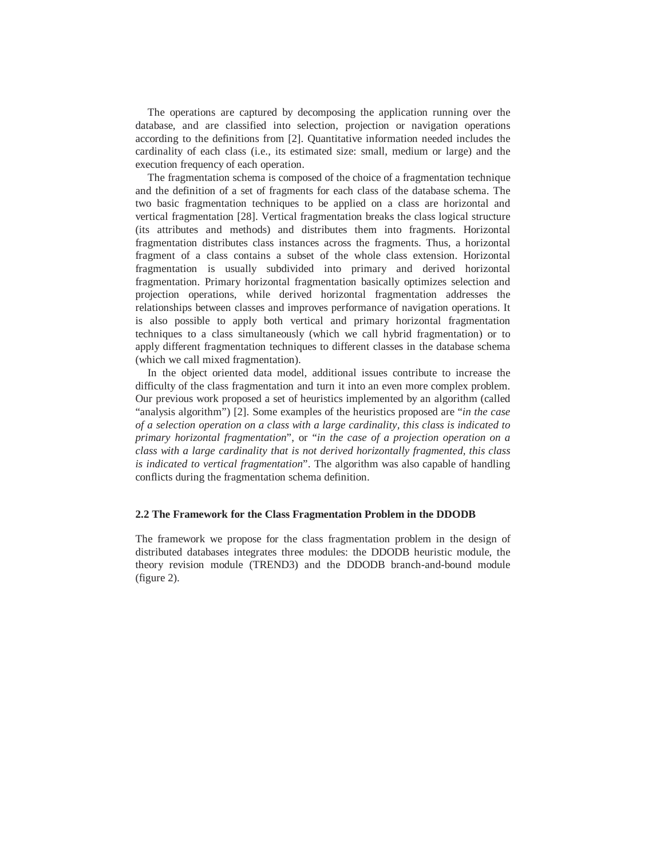The operations are captured by decomposing the application running over the database, and are classified into selection, projection or navigation operations according to the definitions from [2]. Quantitative information needed includes the cardinality of each class (i.e., its estimated size: small, medium or large) and the execution frequency of each operation.

The fragmentation schema is composed of the choice of a fragmentation technique and the definition of a set of fragments for each class of the database schema. The two basic fragmentation techniques to be applied on a class are horizontal and vertical fragmentation [28]. Vertical fragmentation breaks the class logical structure (its attributes and methods) and distributes them into fragments. Horizontal fragmentation distributes class instances across the fragments. Thus, a horizontal fragment of a class contains a subset of the whole class extension. Horizontal fragmentation is usually subdivided into primary and derived horizontal fragmentation. Primary horizontal fragmentation basically optimizes selection and projection operations, while derived horizontal fragmentation addresses the relationships between classes and improves performance of navigation operations. It is also possible to apply both vertical and primary horizontal fragmentation techniques to a class simultaneously (which we call hybrid fragmentation) or to apply different fragmentation techniques to different classes in the database schema (which we call mixed fragmentation).

In the object oriented data model, additional issues contribute to increase the difficulty of the class fragmentation and turn it into an even more complex problem. Our previous work proposed a set of heuristics implemented by an algorithm (called "analysis algorithm") [2]. Some examples of the heuristics proposed are "*in the case of a selection operation on a class with a large cardinality, this class is indicated to primary horizontal fragmentation*", or "*in the case of a projection operation on a class with a large cardinality that is not derived horizontally fragmented, this class is indicated to vertical fragmentation*". The algorithm was also capable of handling conflicts during the fragmentation schema definition.

## **2.2 The Framework for the Class Fragmentation Problem in the DDODB**

The framework we propose for the class fragmentation problem in the design of distributed databases integrates three modules: the DDODB heuristic module, the theory revision module (TREND3) and the DDODB branch-and-bound module (figure 2).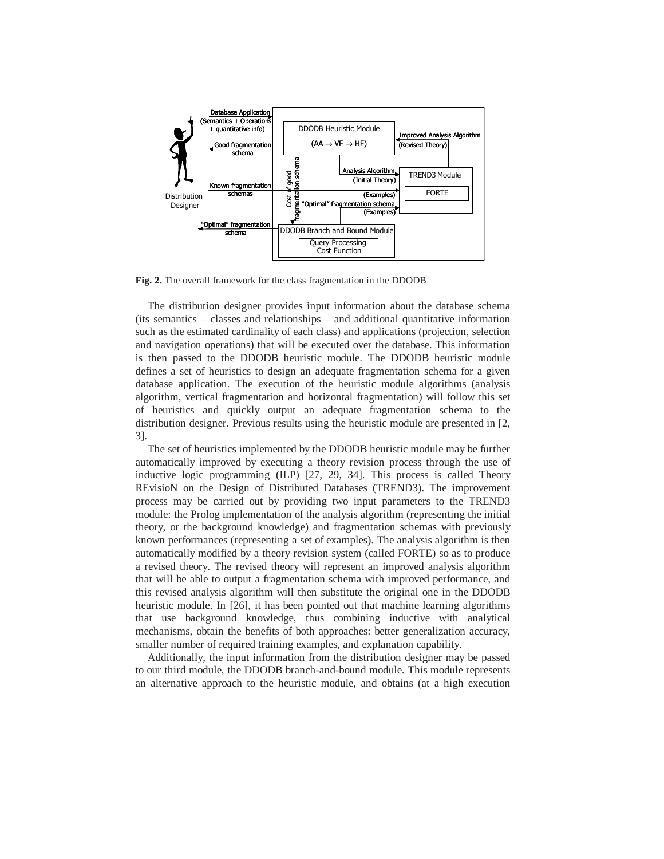

**Fig. 2.** The overall framework for the class fragmentation in the DDODB

The distribution designer provides input information about the database schema (its semantics – classes and relationships – and additional quantitative information such as the estimated cardinality of each class) and applications (projection, selection and navigation operations) that will be executed over the database. This information is then passed to the DDODB heuristic module. The DDODB heuristic module defines a set of heuristics to design an adequate fragmentation schema for a given database application. The execution of the heuristic module algorithms (analysis algorithm, vertical fragmentation and horizontal fragmentation) will follow this set of heuristics and quickly output an adequate fragmentation schema to the distribution designer. Previous results using the heuristic module are presented in [2, 3].

The set of heuristics implemented by the DDODB heuristic module may be further automatically improved by executing a theory revision process through the use of inductive logic programming (ILP) [27, 29, 34]. This process is called Theory REvisioN on the Design of Distributed Databases (TREND3). The improvement process may be carried out by providing two input parameters to the TREND3 module: the Prolog implementation of the analysis algorithm (representing the initial theory, or the background knowledge) and fragmentation schemas with previously known performances (representing a set of examples). The analysis algorithm is then automatically modified by a theory revision system (called FORTE) so as to produce a revised theory. The revised theory will represent an improved analysis algorithm that will be able to output a fragmentation schema with improved performance, and this revised analysis algorithm will then substitute the original one in the DDODB heuristic module. In [26], it has been pointed out that machine learning algorithms that use background knowledge, thus combining inductive with analytical mechanisms, obtain the benefits of both approaches: better generalization accuracy, smaller number of required training examples, and explanation capability.

Additionally, the input information from the distribution designer may be passed to our third module, the DDODB branch-and-bound module. This module represents an alternative approach to the heuristic module, and obtains (at a high execution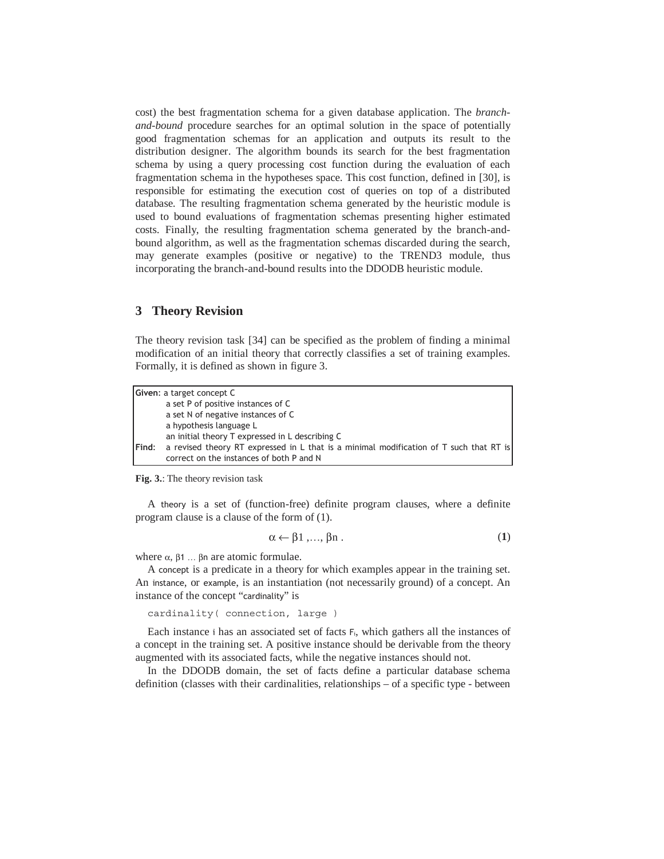cost) the best fragmentation schema for a given database application. The *branchand-bound* procedure searches for an optimal solution in the space of potentially good fragmentation schemas for an application and outputs its result to the distribution designer. The algorithm bounds its search for the best fragmentation schema by using a query processing cost function during the evaluation of each fragmentation schema in the hypotheses space. This cost function, defined in [30], is responsible for estimating the execution cost of queries on top of a distributed database. The resulting fragmentation schema generated by the heuristic module is used to bound evaluations of fragmentation schemas presenting higher estimated costs. Finally, the resulting fragmentation schema generated by the branch-andbound algorithm, as well as the fragmentation schemas discarded during the search, may generate examples (positive or negative) to the TREND3 module, thus incorporating the branch-and-bound results into the DDODB heuristic module.

# **3 Theory Revision**

The theory revision task [34] can be specified as the problem of finding a minimal modification of an initial theory that correctly classifies a set of training examples. Formally, it is defined as shown in figure 3.

```
Given: a target concept C 
         a set P of positive instances of C 
         a set N of negative instances of C 
         a hypothesis language L 
         an initial theory T expressed in L describing C 
Find: a revised theory RT expressed in L that is a minimal modification of T such that RT is 
        correct on the instances of both P and N
```
**Fig. 3.**: The theory revision task

A theory is a set of (function-free) definite program clauses, where a definite program clause is a clause of the form of (1).

$$
\alpha \leftarrow \beta 1 \, \dots, \beta n \, . \tag{1}
$$

where  $\alpha$ ,  $\beta$ 1 ...  $\beta$ n are atomic formulae.

A concept is a predicate in a theory for which examples appear in the training set. An instance, or example, is an instantiation (not necessarily ground) of a concept. An instance of the concept "cardinality" is

cardinality( connection, large )

Each instance i has an associated set of facts Fi, which gathers all the instances of a concept in the training set. A positive instance should be derivable from the theory augmented with its associated facts, while the negative instances should not.

In the DDODB domain, the set of facts define a particular database schema definition (classes with their cardinalities, relationships – of a specific type - between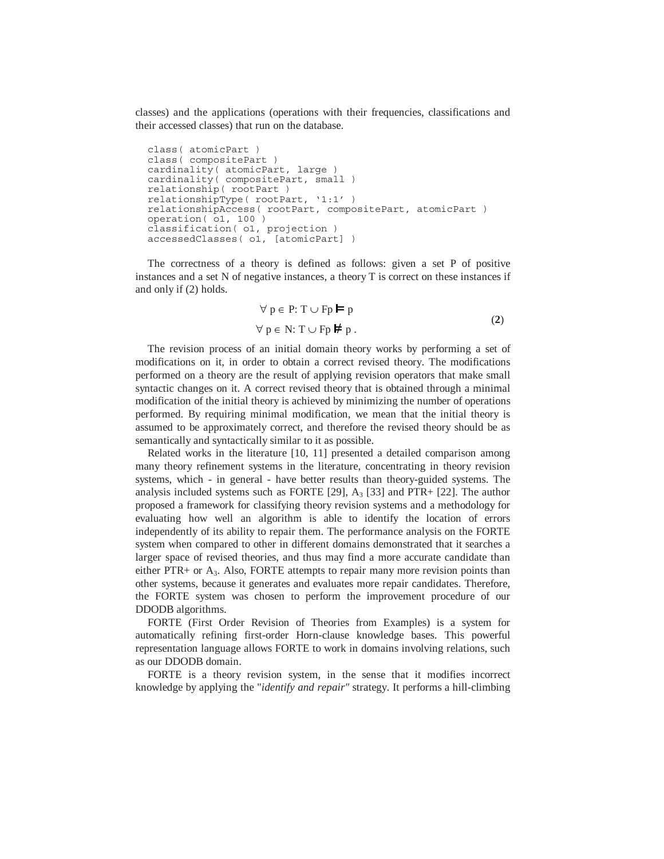classes) and the applications (operations with their frequencies, classifications and their accessed classes) that run on the database.

class( atomicPart ) class( compositePart ) cardinality( atomicPart, large ) cardinality( compositePart, small ) relationship( rootPart ) relationshipType( rootPart, '1:1' ) relationshipAccess( rootPart, compositePart, atomicPart ) operation( o1, 100 ) classification( o1, projection ) accessedClasses( o1, [atomicPart] )

The correctness of a theory is defined as follows: given a set P of positive instances and a set N of negative instances, a theory T is correct on these instances if and only if (2) holds.

$$
\forall p \in P: T \cup Fp \blacktriangleright p
$$
  
\n
$$
\forall p \in N: T \cup Fp \nightharpoonup p.
$$
 (2)

The revision process of an initial domain theory works by performing a set of modifications on it, in order to obtain a correct revised theory. The modifications performed on a theory are the result of applying revision operators that make small syntactic changes on it. A correct revised theory that is obtained through a minimal modification of the initial theory is achieved by minimizing the number of operations performed. By requiring minimal modification, we mean that the initial theory is assumed to be approximately correct, and therefore the revised theory should be as semantically and syntactically similar to it as possible.

Related works in the literature [10, 11] presented a detailed comparison among many theory refinement systems in the literature, concentrating in theory revision systems, which - in general - have better results than theory-guided systems. The analysis included systems such as FORTE [29],  $A_3$  [33] and PTR+ [22]. The author proposed a framework for classifying theory revision systems and a methodology for evaluating how well an algorithm is able to identify the location of errors independently of its ability to repair them. The performance analysis on the FORTE system when compared to other in different domains demonstrated that it searches a larger space of revised theories, and thus may find a more accurate candidate than either PTR+ or A<sub>3</sub>. Also, FORTE attempts to repair many more revision points than other systems, because it generates and evaluates more repair candidates. Therefore, the FORTE system was chosen to perform the improvement procedure of our DDODB algorithms.

FORTE (First Order Revision of Theories from Examples) is a system for automatically refining first-order Horn-clause knowledge bases. This powerful representation language allows FORTE to work in domains involving relations, such as our DDODB domain.

FORTE is a theory revision system, in the sense that it modifies incorrect knowledge by applying the "*identify and repair"* strategy. It performs a hill-climbing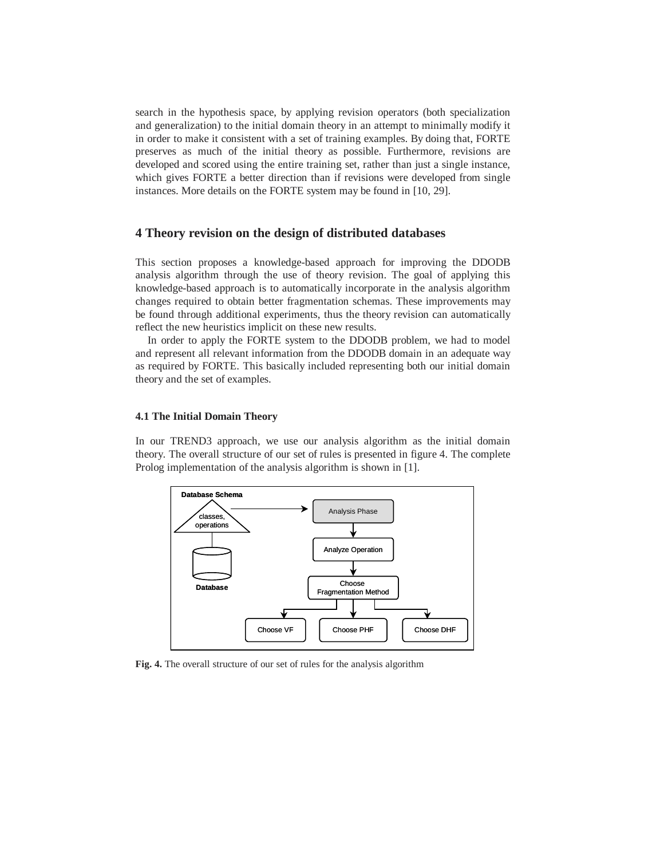search in the hypothesis space, by applying revision operators (both specialization and generalization) to the initial domain theory in an attempt to minimally modify it in order to make it consistent with a set of training examples. By doing that, FORTE preserves as much of the initial theory as possible. Furthermore, revisions are developed and scored using the entire training set, rather than just a single instance, which gives FORTE a better direction than if revisions were developed from single instances. More details on the FORTE system may be found in [10, 29].

# **4 Theory revision on the design of distributed databases**

This section proposes a knowledge-based approach for improving the DDODB analysis algorithm through the use of theory revision. The goal of applying this knowledge-based approach is to automatically incorporate in the analysis algorithm changes required to obtain better fragmentation schemas. These improvements may be found through additional experiments, thus the theory revision can automatically reflect the new heuristics implicit on these new results.

In order to apply the FORTE system to the DDODB problem, we had to model and represent all relevant information from the DDODB domain in an adequate way as required by FORTE. This basically included representing both our initial domain theory and the set of examples.

#### **4.1 The Initial Domain Theory**

In our TREND3 approach, we use our analysis algorithm as the initial domain theory. The overall structure of our set of rules is presented in figure 4. The complete Prolog implementation of the analysis algorithm is shown in [1].



**Fig. 4.** The overall structure of our set of rules for the analysis algorithm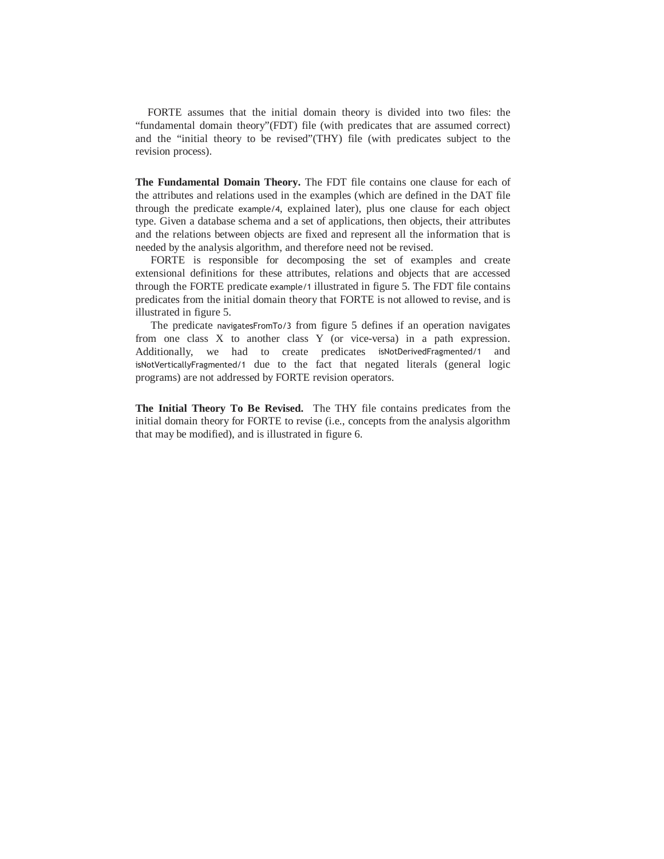FORTE assumes that the initial domain theory is divided into two files: the "fundamental domain theory"(FDT) file (with predicates that are assumed correct) and the "initial theory to be revised"(THY) file (with predicates subject to the revision process).

**The Fundamental Domain Theory.** The FDT file contains one clause for each of the attributes and relations used in the examples (which are defined in the DAT file through the predicate example/4, explained later), plus one clause for each object type. Given a database schema and a set of applications, then objects, their attributes and the relations between objects are fixed and represent all the information that is needed by the analysis algorithm, and therefore need not be revised.

 FORTE is responsible for decomposing the set of examples and create extensional definitions for these attributes, relations and objects that are accessed through the FORTE predicate example/1 illustrated in figure 5. The FDT file contains predicates from the initial domain theory that FORTE is not allowed to revise, and is illustrated in figure 5.

 The predicate navigatesFromTo/3 from figure 5 defines if an operation navigates from one class X to another class Y (or vice-versa) in a path expression. Additionally, we had to create predicates isNotDerivedFragmented/1 and isNotVerticallyFragmented/1 due to the fact that negated literals (general logic programs) are not addressed by FORTE revision operators.

**The Initial Theory To Be Revised.** The THY file contains predicates from the initial domain theory for FORTE to revise (i.e., concepts from the analysis algorithm that may be modified), and is illustrated in figure 6.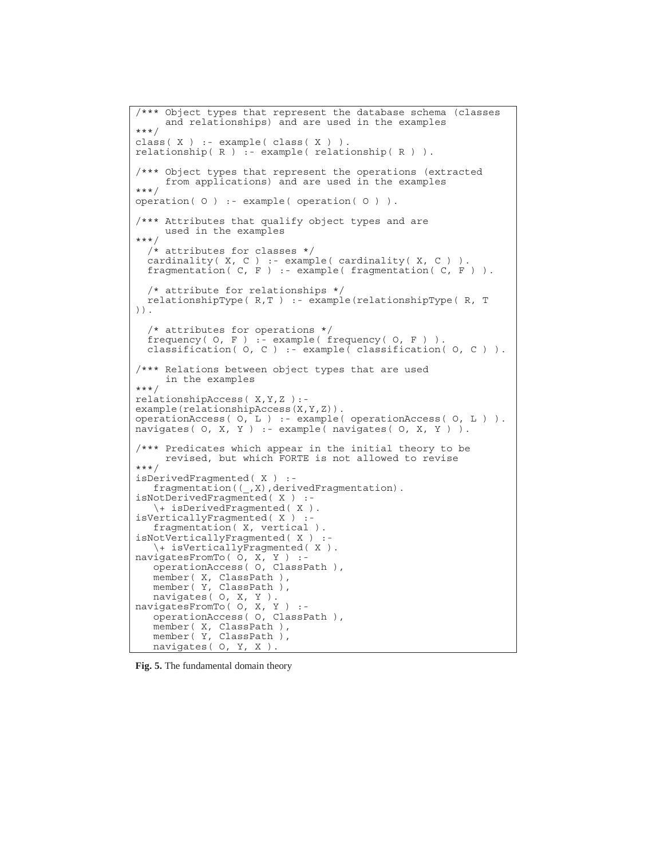```
/*** Object types that represent the database schema (classes 
      and relationships) and are used in the examples 
***/ 
class( X ) :- example( class( X ) ). 
relationship(R) :- example( relationship(R)).
/*** Object types that represent the operations (extracted 
 from applications) and are used in the examples 
***/ 
operation( O ) :- example( operation( O ) ). 
/*** Attributes that qualify object types and are 
     used in the examples 
***/ 
  /* attributes for classes */ 
 cardinality( X, C ) :- example( cardinality( X, C ) ).
  fragmentation( C, F ) :- example( fragmentation( C, F ) ). 
   /* attribute for relationships */ 
  relationshipType( R,T ) :- example(relationshipType( R, T 
)). 
   /* attributes for operations */ 
  frequency( 0, F ) :- example( frequency( 0, F ) ).
  classification( O, C ) :- example( classification( O, C ) ). 
/*** Relations between object types that are used 
     in the examples 
***/ 
relationshipAccess( X,Y,Z ):-
example(relationshipAccess(X,Y,Z)). 
operationAccess( O, L ) :- example( operationAccess( O, L ) ). 
navigates( O, X, Y ) :- example( navigates( O, X, Y ) ). 
/*** Predicates which appear in the initial theory to be 
     revised, but which FORTE is not allowed to revise 
***/ 
isDerivedFragmented( X ) :- 
   fragmentation((\_ ,X), derivedFragmentation).
isNotDerivedFragmented( X ) :- 
    \+ isDerivedFragmented( X ). 
isVerticallyFragmented( X ) :- 
  fragmentation( X, vertical ).
isNotVerticallyFragmented( X ) :- 
    \+ isVerticallyFragmented( X ). 
navigatesFromTo( O, X, Y ) :- 
 operationAccess( O, ClassPath ), 
   member( X, ClassPath ), 
   member( Y, ClassPath ), 
 navigates( O, X, Y ). 
navigatesFromTo( O, X, Y ) :- 
 operationAccess( O, ClassPath ), 
    member( X, ClassPath ), 
 member( Y, ClassPath ), 
 navigates( O, Y, X ).
```
**Fig. 5.** The fundamental domain theory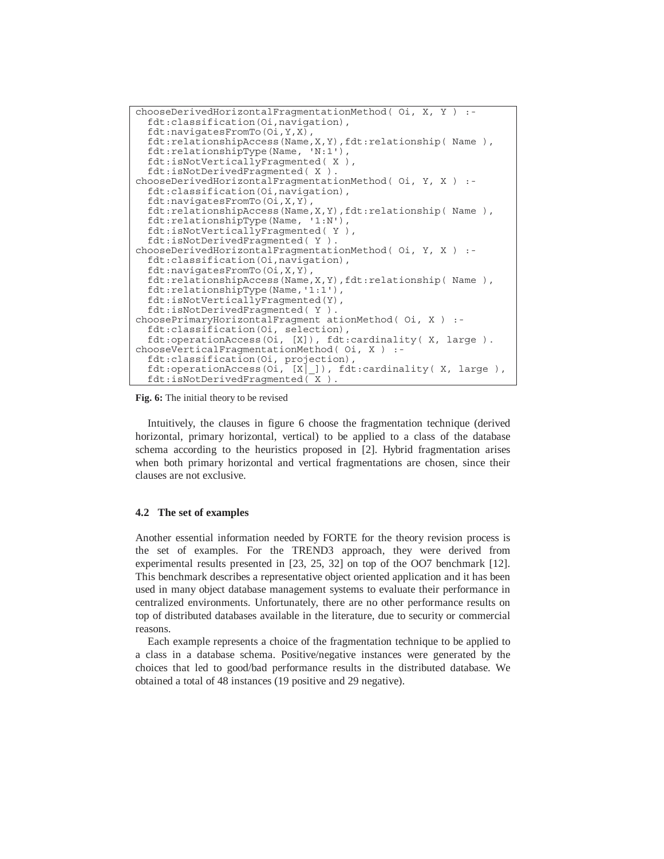

**Fig. 6:** The initial theory to be revised

Intuitively, the clauses in figure 6 choose the fragmentation technique (derived horizontal, primary horizontal, vertical) to be applied to a class of the database schema according to the heuristics proposed in [2]. Hybrid fragmentation arises when both primary horizontal and vertical fragmentations are chosen, since their clauses are not exclusive.

## **4.2 The set of examples**

Another essential information needed by FORTE for the theory revision process is the set of examples. For the TREND3 approach, they were derived from experimental results presented in [23, 25, 32] on top of the OO7 benchmark [12]. This benchmark describes a representative object oriented application and it has been used in many object database management systems to evaluate their performance in centralized environments. Unfortunately, there are no other performance results on top of distributed databases available in the literature, due to security or commercial reasons.

Each example represents a choice of the fragmentation technique to be applied to a class in a database schema. Positive/negative instances were generated by the choices that led to good/bad performance results in the distributed database. We obtained a total of 48 instances (19 positive and 29 negative).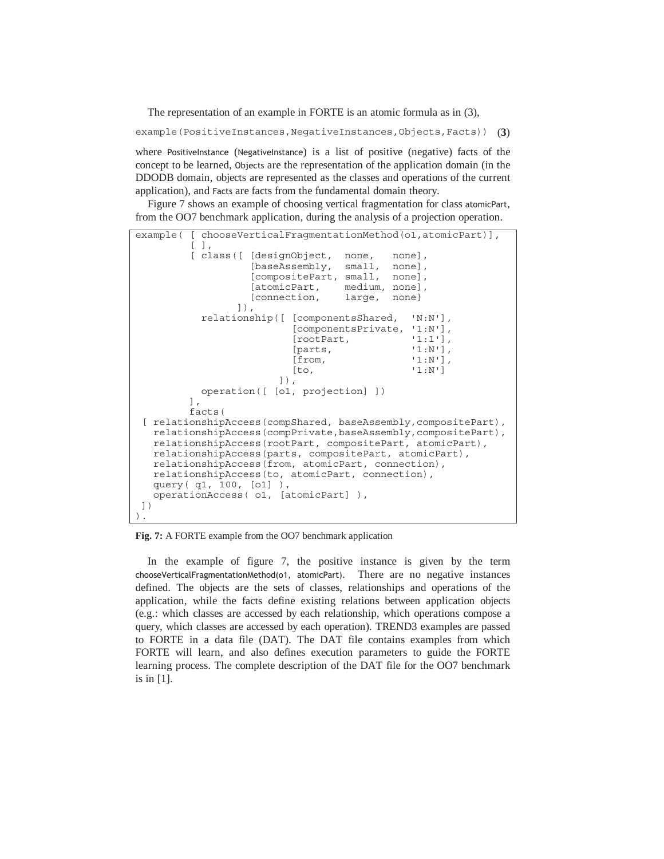The representation of an example in FORTE is an atomic formula as in (3),

example(PositiveInstances,NegativeInstances,Objects,Facts)) (**3**)

where PositiveInstance (NegativeInstance) is a list of positive (negative) facts of the concept to be learned, Objects are the representation of the application domain (in the DDODB domain, objects are represented as the classes and operations of the current application), and Facts are facts from the fundamental domain theory.

Figure 7 shows an example of choosing vertical fragmentation for class atomicPart, from the OO7 benchmark application, during the analysis of a projection operation.

```
example( [ chooseVerticalFragmentationMethod(o1,atomicPart)],
         [ ],
          [ class([ [designObject, none, none], 
                     [baseAssembly, small, none], 
                     [compositePart, small, none], 
                                    medium, none],
                     [connection, large, none] 
                  ]), 
            relationship([ [componentsShared, 'N:N'], 
                           [componentsPrivate, '1:N'],<br>[rootPart, '1:1'],
                           [rootPart,
                            [parts, '1:N'], 
                           [from, '1:N'],
                           [to, '1:N']
                          ]), 
            operation([ [o1, projection] ]) 
          ], 
          facts( 
  [ relationshipAccess(compShared, baseAssembly,compositePart), 
    relationshipAccess(compPrivate,baseAssembly,compositePart), 
    relationshipAccess(rootPart, compositePart, atomicPart), 
    relationshipAccess(parts, compositePart, atomicPart), 
    relationshipAccess(from, atomicPart, connection), 
    relationshipAccess(to, atomicPart, connection), 
    query( q1, 100, [o1] ), 
    operationAccess( o1, [atomicPart] ), 
 ]) 
).
```
#### **Fig. 7:** A FORTE example from the OO7 benchmark application

In the example of figure 7, the positive instance is given by the term chooseVerticalFragmentationMethod(o1, atomicPart). There are no negative instances defined. The objects are the sets of classes, relationships and operations of the application, while the facts define existing relations between application objects (e.g.: which classes are accessed by each relationship, which operations compose a query, which classes are accessed by each operation). TREND3 examples are passed to FORTE in a data file (DAT). The DAT file contains examples from which FORTE will learn, and also defines execution parameters to guide the FORTE learning process. The complete description of the DAT file for the OO7 benchmark is in [1].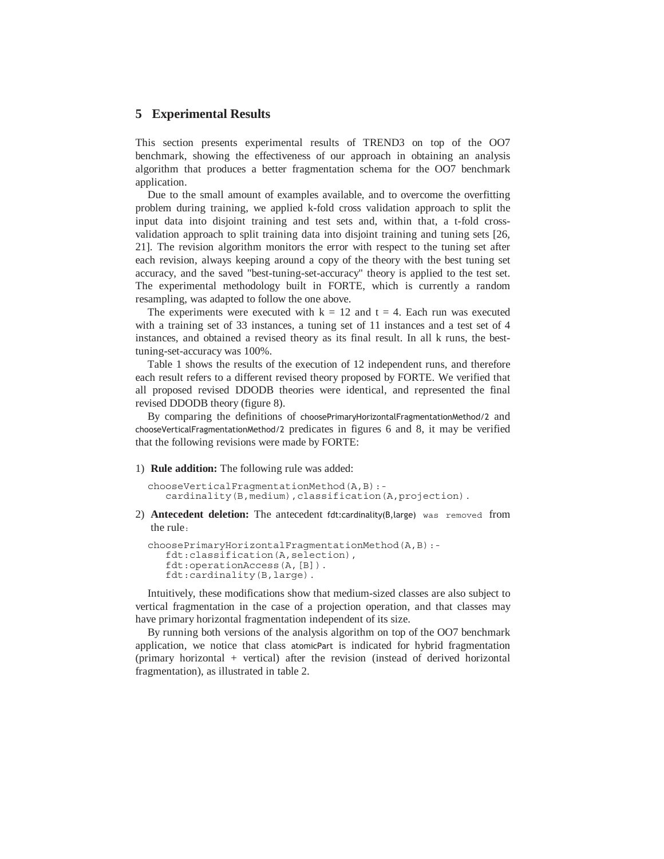# **5 Experimental Results**

This section presents experimental results of TREND3 on top of the OO7 benchmark, showing the effectiveness of our approach in obtaining an analysis algorithm that produces a better fragmentation schema for the OO7 benchmark application.

Due to the small amount of examples available, and to overcome the overfitting problem during training, we applied k-fold cross validation approach to split the input data into disjoint training and test sets and, within that, a t-fold crossvalidation approach to split training data into disjoint training and tuning sets [26, 21]. The revision algorithm monitors the error with respect to the tuning set after each revision, always keeping around a copy of the theory with the best tuning set accuracy, and the saved "best-tuning-set-accuracy" theory is applied to the test set. The experimental methodology built in FORTE, which is currently a random resampling, was adapted to follow the one above.

The experiments were executed with  $k = 12$  and  $t = 4$ . Each run was executed with a training set of 33 instances, a tuning set of 11 instances and a test set of 4 instances, and obtained a revised theory as its final result. In all k runs, the besttuning-set-accuracy was 100%.

Table 1 shows the results of the execution of 12 independent runs, and therefore each result refers to a different revised theory proposed by FORTE. We verified that all proposed revised DDODB theories were identical, and represented the final revised DDODB theory (figure 8).

By comparing the definitions of choosePrimaryHorizontalFragmentationMethod/2 and chooseVerticalFragmentationMethod/2 predicates in figures 6 and 8, it may be verified that the following revisions were made by FORTE:

1) **Rule addition:** The following rule was added:

```
chooseVerticalFragmentationMethod(A,B):- 
    cardinality(B,medium),classification(A,projection).
```
2) **Antecedent deletion:** The antecedent fdt:cardinality(B,large) was removed from the rule:

```
choosePrimaryHorizontalFragmentationMethod(A,B):- 
    fdt:classification(A,selection), 
    fdt:operationAccess(A,[B]). 
    fdt:cardinality(B,large).
```
Intuitively, these modifications show that medium-sized classes are also subject to vertical fragmentation in the case of a projection operation, and that classes may have primary horizontal fragmentation independent of its size.

By running both versions of the analysis algorithm on top of the OO7 benchmark application, we notice that class atomicPart is indicated for hybrid fragmentation (primary horizontal + vertical) after the revision (instead of derived horizontal fragmentation), as illustrated in table 2.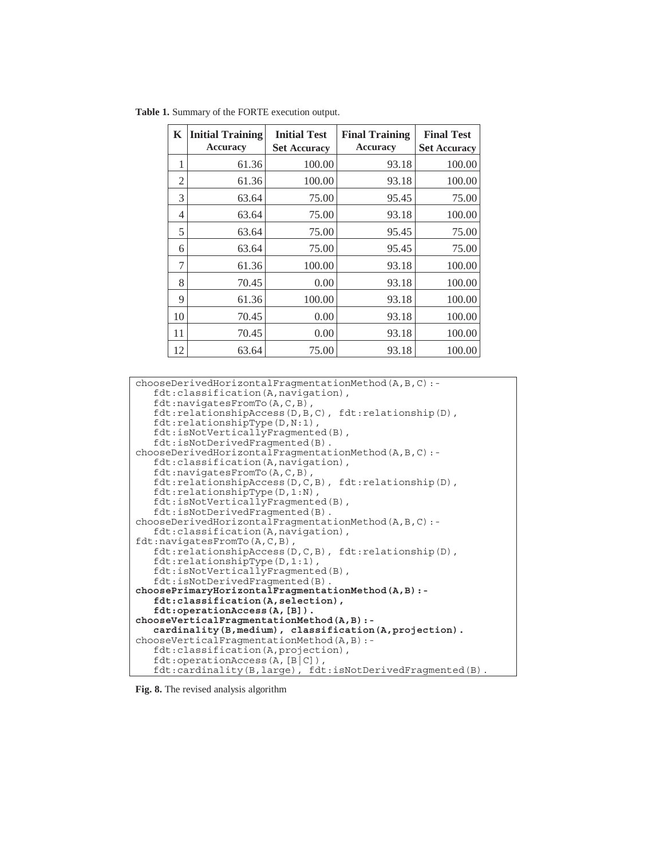| K  | <b>Initial Training</b><br><b>Accuracy</b> | <b>Initial Test</b><br><b>Set Accuracy</b> | <b>Final Training</b><br><b>Accuracy</b> | <b>Final Test</b><br><b>Set Accuracy</b> |
|----|--------------------------------------------|--------------------------------------------|------------------------------------------|------------------------------------------|
|    | 61.36                                      | 100.00                                     | 93.18                                    | 100.00                                   |
| 2  | 61.36                                      | 100.00                                     | 93.18                                    | 100.00                                   |
| 3  | 63.64                                      | 75.00                                      | 95.45                                    | 75.00                                    |
| 4  | 63.64                                      | 75.00                                      | 93.18                                    | 100.00                                   |
| 5  | 63.64                                      | 75.00                                      | 95.45                                    | 75.00                                    |
| 6  | 63.64                                      | 75.00                                      | 95.45                                    | 75.00                                    |
| 7  | 61.36                                      | 100.00                                     | 93.18                                    | 100.00                                   |
| 8  | 70.45                                      | 0.00                                       | 93.18                                    | 100.00                                   |
| 9  | 61.36                                      | 100.00                                     | 93.18                                    | 100.00                                   |
| 10 | 70.45                                      | 0.00                                       | 93.18                                    | 100.00                                   |
| 11 | 70.45                                      | 0.00                                       | 93.18                                    | 100.00                                   |
| 12 | 63.64                                      | 75.00                                      | 93.18                                    | 100.00                                   |

**Table 1.** Summary of the FORTE execution output.

```
chooseDerivedHorizontalFragmentationMethod(A,B,C):- 
    fdt:classification(A,navigation), 
    fdt:navigatesFromTo(A,C,B), 
    fdt:relationshipAccess(D,B,C), fdt:relationship(D), 
 fdt:relationshipType(D,N:1), 
 fdt:isNotVerticallyFragmented(B), 
    fdt:isNotDerivedFragmented(B). 
chooseDerivedHorizontalFragmentationMethod(A,B,C):- 
    fdt:classification(A,navigation), 
    fdt:navigatesFromTo(A,C,B), 
    fdt:relationshipAccess(D,C,B), fdt:relationship(D), 
    fdt:relationshipType(D,1:N), 
    fdt:isNotVerticallyFragmented(B), 
    fdt:isNotDerivedFragmented(B). 
chooseDerivedHorizontalFragmentationMethod(A,B,C):- 
    fdt:classification(A,navigation), 
fdt:navigatesFromTo(A,C,B), 
    fdt:relationshipAccess(D,C,B), fdt:relationship(D), 
    fdt:relationshipType(D,1:1), 
    fdt:isNotVerticallyFragmented(B), 
    fdt:isNotDerivedFragmented(B). 
choosePrimaryHorizontalFragmentationMethod(A,B):- 
    fdt:classification(A,selection), 
    fdt:operationAccess(A,[B]). 
chooseVerticalFragmentationMethod(A,B):- 
    cardinality(B,medium), classification(A,projection). 
chooseVerticalFragmentationMethod(A,B):- 
    fdt:classification(A,projection), 
    fdt:operationAccess(A,[B|C]), 
    fdt:cardinality(B,large), fdt:isNotDerivedFragmented(B).
```
**Fig. 8.** The revised analysis algorithm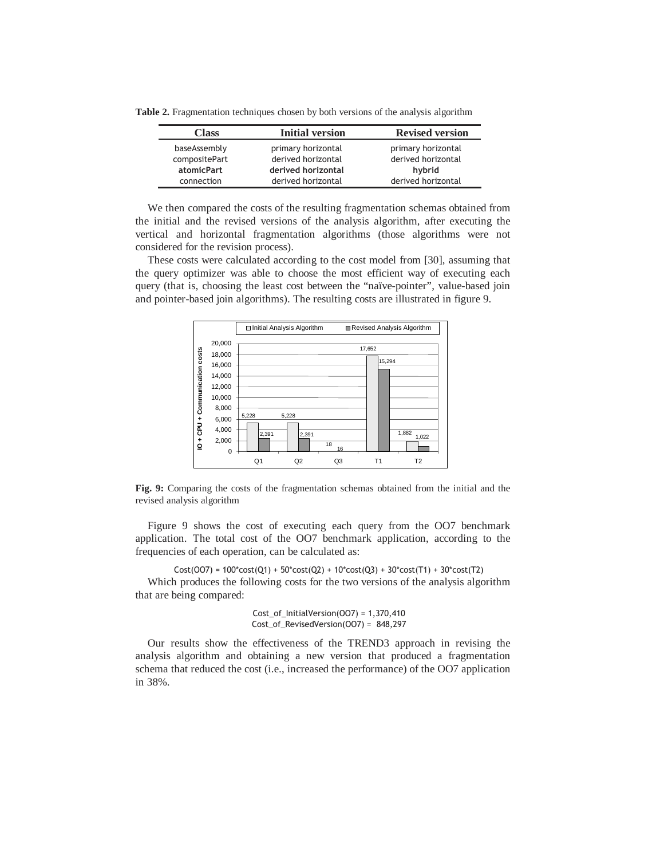**Table 2.** Fragmentation techniques chosen by both versions of the analysis algorithm

| <b>Class</b>      | Initial version    | <b>Revised version</b> |
|-------------------|--------------------|------------------------|
| baseAssembly      | primary horizontal | primary horizontal     |
| compositePart     | derived horizontal | derived horizontal     |
| <b>atomicPart</b> | derived horizontal | hybrid                 |
| connection        | derived horizontal | derived horizontal     |

We then compared the costs of the resulting fragmentation schemas obtained from the initial and the revised versions of the analysis algorithm, after executing the vertical and horizontal fragmentation algorithms (those algorithms were not considered for the revision process).

These costs were calculated according to the cost model from [30], assuming that the query optimizer was able to choose the most efficient way of executing each query (that is, choosing the least cost between the "naïve-pointer", value-based join and pointer-based join algorithms). The resulting costs are illustrated in figure 9.



**Fig. 9:** Comparing the costs of the fragmentation schemas obtained from the initial and the revised analysis algorithm

Figure 9 shows the cost of executing each query from the OO7 benchmark application. The total cost of the OO7 benchmark application, according to the frequencies of each operation, can be calculated as:

 $Cost(OO7) = 100*cost(Q1) + 50*cost(Q2) + 10*cost(Q3) + 30*cost(T1) + 30*cost(T2)$ Which produces the following costs for the two versions of the analysis algorithm that are being compared:

> Cost\_of\_InitialVersion(OO7) = 1,370,410 Cost\_of\_RevisedVersion(OO7) = 848,297

Our results show the effectiveness of the TREND3 approach in revising the analysis algorithm and obtaining a new version that produced a fragmentation schema that reduced the cost (i.e., increased the performance) of the OO7 application in 38%.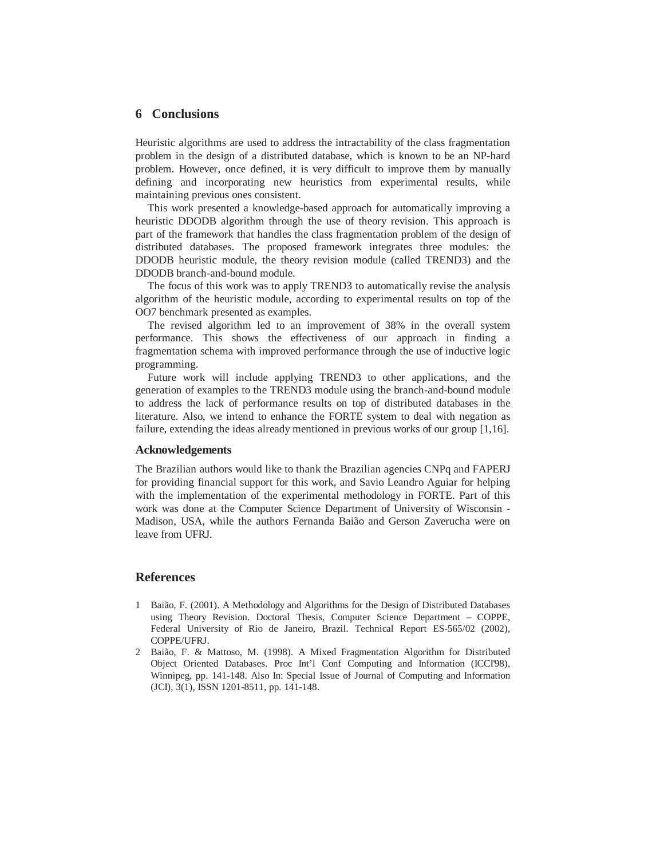# **6 Conclusions**

Heuristic algorithms are used to address the intractability of the class fragmentation problem in the design of a distributed database, which is known to be an NP-hard problem. However, once defined, it is very difficult to improve them by manually defining and incorporating new heuristics from experimental results, while maintaining previous ones consistent.

This work presented a knowledge-based approach for automatically improving a heuristic DDODB algorithm through the use of theory revision. This approach is part of the framework that handles the class fragmentation problem of the design of distributed databases. The proposed framework integrates three modules: the DDODB heuristic module, the theory revision module (called TREND3) and the DDODB branch-and-bound module.

The focus of this work was to apply TREND3 to automatically revise the analysis algorithm of the heuristic module, according to experimental results on top of the OO7 benchmark presented as examples.

The revised algorithm led to an improvement of 38% in the overall system performance. This shows the effectiveness of our approach in finding a fragmentation schema with improved performance through the use of inductive logic programming.

Future work will include applying TREND3 to other applications, and the generation of examples to the TREND3 module using the branch-and-bound module to address the lack of performance results on top of distributed databases in the literature. Also, we intend to enhance the FORTE system to deal with negation as failure, extending the ideas already mentioned in previous works of our group [1,16].

## **Acknowledgements**

The Brazilian authors would like to thank the Brazilian agencies CNPq and FAPERJ for providing financial support for this work, and Savio Leandro Aguiar for helping with the implementation of the experimental methodology in FORTE. Part of this work was done at the Computer Science Department of University of Wisconsin - Madison, USA, while the authors Fernanda Baião and Gerson Zaverucha were on leave from UFRJ.

## **References**

- 1 Baião, F. (2001). A Methodology and Algorithms for the Design of Distributed Databases using Theory Revision. Doctoral Thesis, Computer Science Department – COPPE, Federal University of Rio de Janeiro, Brazil. Technical Report ES-565/02 (2002), COPPE/UFRJ.
- 2 Baião, F. & Mattoso, M. (1998). A Mixed Fragmentation Algorithm for Distributed Object Oriented Databases. Proc Int'l Conf Computing and Information (ICCI'98), Winnipeg, pp. 141-148. Also In: Special Issue of Journal of Computing and Information (JCI), 3(1), ISSN 1201-8511, pp. 141-148.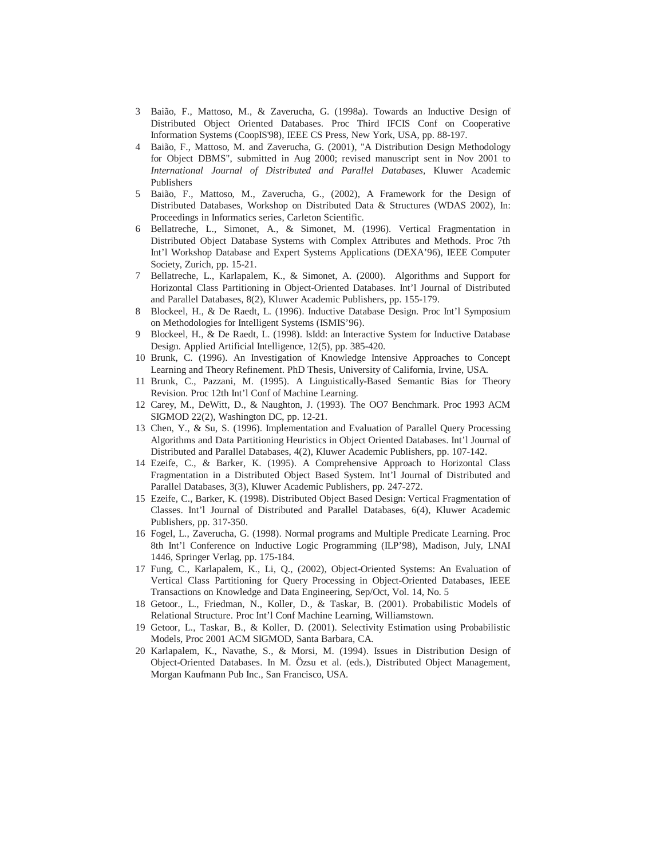- 3 Baião, F., Mattoso, M., & Zaverucha, G. (1998a). Towards an Inductive Design of Distributed Object Oriented Databases. Proc Third IFCIS Conf on Cooperative Information Systems (CoopIS'98), IEEE CS Press, New York, USA, pp. 88-197.
- 4 Baião, F., Mattoso, M. and Zaverucha, G. (2001), "A Distribution Design Methodology for Object DBMS", submitted in Aug 2000; revised manuscript sent in Nov 2001 to *International Journal of Distributed and Parallel Databases,* Kluwer Academic Publishers
- 5 Baião, F., Mattoso, M., Zaverucha, G., (2002), A Framework for the Design of Distributed Databases, Workshop on Distributed Data & Structures (WDAS 2002), In: Proceedings in Informatics series, Carleton Scientific.
- 6 Bellatreche, L., Simonet, A., & Simonet, M. (1996). Vertical Fragmentation in Distributed Object Database Systems with Complex Attributes and Methods. Proc 7th Int'l Workshop Database and Expert Systems Applications (DEXA'96), IEEE Computer Society, Zurich, pp. 15-21.
- 7 Bellatreche, L., Karlapalem, K., & Simonet, A. (2000). Algorithms and Support for Horizontal Class Partitioning in Object-Oriented Databases. Int'l Journal of Distributed and Parallel Databases, 8(2), Kluwer Academic Publishers, pp. 155-179.
- 8 Blockeel, H., & De Raedt, L. (1996). Inductive Database Design. Proc Int'l Symposium on Methodologies for Intelligent Systems (ISMIS'96).
- 9 Blockeel, H., & De Raedt, L. (1998). IsIdd: an Interactive System for Inductive Database Design. Applied Artificial Intelligence, 12(5), pp. 385-420.
- 10 Brunk, C. (1996). An Investigation of Knowledge Intensive Approaches to Concept Learning and Theory Refinement. PhD Thesis, University of California, Irvine, USA.
- 11 Brunk, C., Pazzani, M. (1995). A Linguistically-Based Semantic Bias for Theory Revision. Proc 12th Int'l Conf of Machine Learning.
- 12 Carey, M., DeWitt, D., & Naughton, J. (1993). The OO7 Benchmark. Proc 1993 ACM SIGMOD 22(2), Washington DC, pp. 12-21.
- 13 Chen, Y., & Su, S. (1996). Implementation and Evaluation of Parallel Query Processing Algorithms and Data Partitioning Heuristics in Object Oriented Databases. Int'l Journal of Distributed and Parallel Databases, 4(2), Kluwer Academic Publishers, pp. 107-142.
- 14 Ezeife, C., & Barker, K. (1995). A Comprehensive Approach to Horizontal Class Fragmentation in a Distributed Object Based System. Int'l Journal of Distributed and Parallel Databases, 3(3), Kluwer Academic Publishers, pp. 247-272.
- 15 Ezeife, C., Barker, K. (1998). Distributed Object Based Design: Vertical Fragmentation of Classes. Int'l Journal of Distributed and Parallel Databases, 6(4), Kluwer Academic Publishers, pp. 317-350.
- 16 Fogel, L., Zaverucha, G. (1998). Normal programs and Multiple Predicate Learning. Proc 8th Int'l Conference on Inductive Logic Programming (ILP'98), Madison, July, LNAI 1446, Springer Verlag, pp. 175-184.
- 17 Fung, C., Karlapalem, K., Li, Q., (2002), Object-Oriented Systems: An Evaluation of Vertical Class Partitioning for Query Processing in Object-Oriented Databases, IEEE Transactions on Knowledge and Data Engineering, Sep/Oct, Vol. 14, No. 5
- 18 Getoor., L., Friedman, N., Koller, D., & Taskar, B. (2001). Probabilistic Models of Relational Structure. Proc Int'l Conf Machine Learning, Williamstown.
- 19 Getoor, L., Taskar, B., & Koller, D. (2001). Selectivity Estimation using Probabilistic Models, Proc 2001 ACM SIGMOD, Santa Barbara, CA.
- 20 Karlapalem, K., Navathe, S., & Morsi, M. (1994). Issues in Distribution Design of Object-Oriented Databases. In M. Özsu et al. (eds.), Distributed Object Management, Morgan Kaufmann Pub Inc., San Francisco, USA.